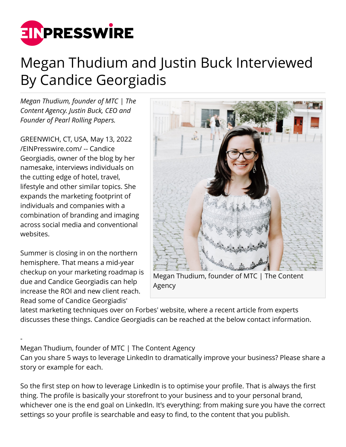

## Megan Thudium and Justin Buck Interviewed By Candice Georgiadis

*Megan Thudium, founder of MTC | The Content Agency. Justin Buck, CEO and Founder of Pearl Rolling Papers.*

GREENWICH, CT, USA, May 13, 2022 [/EINPresswire.com/](http://www.einpresswire.com) -- Candice Georgiadis, owner of the blog by her namesake, interviews individuals on the cutting edge of hotel, travel, lifestyle and other similar topics. She expands the marketing footprint of individuals and companies with a combination of branding and imaging across social media and conventional websites.

Summer is closing in on the northern hemisphere. That means a mid-year checkup on your marketing roadmap is due and Candice Georgiadis can help increase the ROI and new client reach. Read some of Candice Georgiadis'

-



Megan Thudium, founder of MTC | The Content Agency

latest marketing techniques over on Forbes' website, where a recent article from experts discusses these things. Candice Georgiadis can be reached at the below contact information.

Megan Thudium, founder of MTC | The Content Agency

Can you share 5 ways to leverage LinkedIn to dramatically improve your business? Please share a story or example for each.

So the first step on how to leverage LinkedIn is to optimise your profile. That is always the first thing. The profile is basically your storefront to your business and to your personal brand, whichever one is the end goal on LinkedIn. It's everything: from making sure you have the correct settings so your profile is searchable and easy to find, to the content that you publish.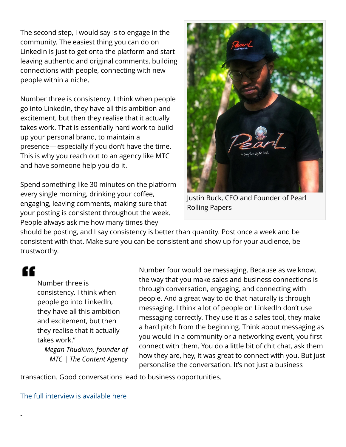The second step, I would say is to engage in the community. The easiest thing you can do on LinkedIn is just to get onto the platform and start leaving authentic and original comments, building connections with people, connecting with new people within a niche.

Number three is consistency. I think when people go into LinkedIn, they have all this ambition and excitement, but then they realise that it actually takes work. That is essentially hard work to build up your personal brand, to maintain a presence—especially if you don't have the time. This is why you reach out to an agency like MTC and have someone help you do it.

Spend something like 30 minutes on the platform every single morning, drinking your coffee, engaging, leaving comments, making sure that your posting is consistent throughout the week. People always ask me how many times they



Justin Buck, CEO and Founder of Pearl Rolling Papers

should be posting, and I say consistency is better than quantity. Post once a week and be consistent with that. Make sure you can be consistent and show up for your audience, be trustworthy.

## "

-

Number three is consistency. I think when people go into LinkedIn, they have all this ambition and excitement, but then they realise that it actually takes work."

*Megan Thudium, founder of MTC | The Content Agency*

Number four would be messaging. Because as we know, the way that you make sales and business connections is through conversation, engaging, and connecting with people. And a great way to do that naturally is through messaging. I think a lot of people on LinkedIn don't use messaging correctly. They use it as a sales tool, they make a hard pitch from the beginning. Think about messaging as you would in a community or a networking event, you first connect with them. You do a little bit of chit chat, ask them how they are, hey, it was great to connect with you. But just personalise the conversation. It's not just a business

transaction. Good conversations lead to business opportunities.

[The full interview is available here](https://www.candicegeorgiadis.com/megan-thudium-of-mtc-the-content-agency-how-to-use-linkedin-to-dramatically-improve-your/)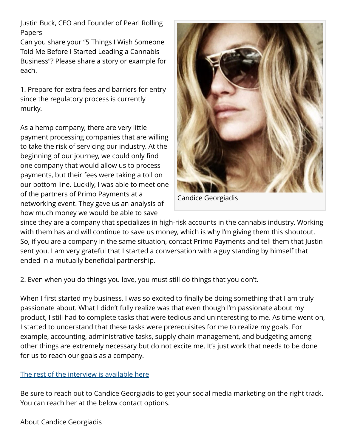Justin Buck, CEO and Founder of Pearl Rolling Papers

Can you share your "5 Things I Wish Someone Told Me Before I Started Leading a Cannabis Business"? Please share a story or example for each.

1. Prepare for extra fees and barriers for entry since the regulatory process is currently murky.

As a hemp company, there are very little payment processing companies that are willing to take the risk of servicing our industry. At the beginning of our journey, we could only find one company that would allow us to process payments, but their fees were taking a toll on our bottom line. Luckily, I was able to meet one of the partners of Primo Payments at a networking event. They gave us an analysis of how much money we would be able to save



Candice Georgiadis

since they are a company that specializes in high-risk accounts in the cannabis industry. Working with them has and will continue to save us money, which is why I'm giving them this shoutout. So, if you are a company in the same situation, contact Primo Payments and tell them that Justin sent you. I am very grateful that I started a conversation with a guy standing by himself that ended in a mutually beneficial partnership.

2. Even when you do things you love, you must still do things that you don't.

When I first started my business, I was so excited to finally be doing something that I am truly passionate about. What I didn't fully realize was that even though I'm passionate about my product, I still had to complete tasks that were tedious and uninteresting to me. As time went on, I started to understand that these tasks were prerequisites for me to realize my goals. For example, accounting, administrative tasks, supply chain management, and budgeting among other things are extremely necessary but do not excite me. It's just work that needs to be done for us to reach our goals as a company.

## [The rest of the interview is available here](https://www.candicegeorgiadis.com/justin-buck-of-pearl-rolling-papers-5-things-i-wish-someone-told-me-before-i-started-leading-a/)

Be sure to reach out to Candice Georgiadis to get your social media marketing on the right track. You can reach her at the below contact options.

About Candice Georgiadis